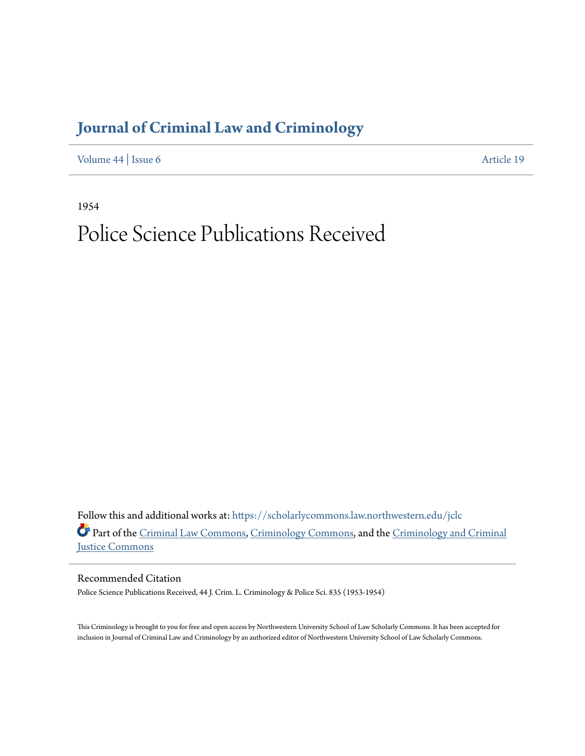## **[Journal of Criminal Law and Criminology](https://scholarlycommons.law.northwestern.edu/jclc?utm_source=scholarlycommons.law.northwestern.edu%2Fjclc%2Fvol44%2Fiss6%2F19&utm_medium=PDF&utm_campaign=PDFCoverPages)**

[Volume 44](https://scholarlycommons.law.northwestern.edu/jclc/vol44?utm_source=scholarlycommons.law.northwestern.edu%2Fjclc%2Fvol44%2Fiss6%2F19&utm_medium=PDF&utm_campaign=PDFCoverPages) | [Issue 6](https://scholarlycommons.law.northwestern.edu/jclc/vol44/iss6?utm_source=scholarlycommons.law.northwestern.edu%2Fjclc%2Fvol44%2Fiss6%2F19&utm_medium=PDF&utm_campaign=PDFCoverPages) [Article 19](https://scholarlycommons.law.northwestern.edu/jclc/vol44/iss6/19?utm_source=scholarlycommons.law.northwestern.edu%2Fjclc%2Fvol44%2Fiss6%2F19&utm_medium=PDF&utm_campaign=PDFCoverPages)

1954

## Police Science Publications Received

Follow this and additional works at: [https://scholarlycommons.law.northwestern.edu/jclc](https://scholarlycommons.law.northwestern.edu/jclc?utm_source=scholarlycommons.law.northwestern.edu%2Fjclc%2Fvol44%2Fiss6%2F19&utm_medium=PDF&utm_campaign=PDFCoverPages) Part of the [Criminal Law Commons](http://network.bepress.com/hgg/discipline/912?utm_source=scholarlycommons.law.northwestern.edu%2Fjclc%2Fvol44%2Fiss6%2F19&utm_medium=PDF&utm_campaign=PDFCoverPages), [Criminology Commons](http://network.bepress.com/hgg/discipline/417?utm_source=scholarlycommons.law.northwestern.edu%2Fjclc%2Fvol44%2Fiss6%2F19&utm_medium=PDF&utm_campaign=PDFCoverPages), and the [Criminology and Criminal](http://network.bepress.com/hgg/discipline/367?utm_source=scholarlycommons.law.northwestern.edu%2Fjclc%2Fvol44%2Fiss6%2F19&utm_medium=PDF&utm_campaign=PDFCoverPages) [Justice Commons](http://network.bepress.com/hgg/discipline/367?utm_source=scholarlycommons.law.northwestern.edu%2Fjclc%2Fvol44%2Fiss6%2F19&utm_medium=PDF&utm_campaign=PDFCoverPages)

Recommended Citation

Police Science Publications Received, 44 J. Crim. L. Criminology & Police Sci. 835 (1953-1954)

This Criminology is brought to you for free and open access by Northwestern University School of Law Scholarly Commons. It has been accepted for inclusion in Journal of Criminal Law and Criminology by an authorized editor of Northwestern University School of Law Scholarly Commons.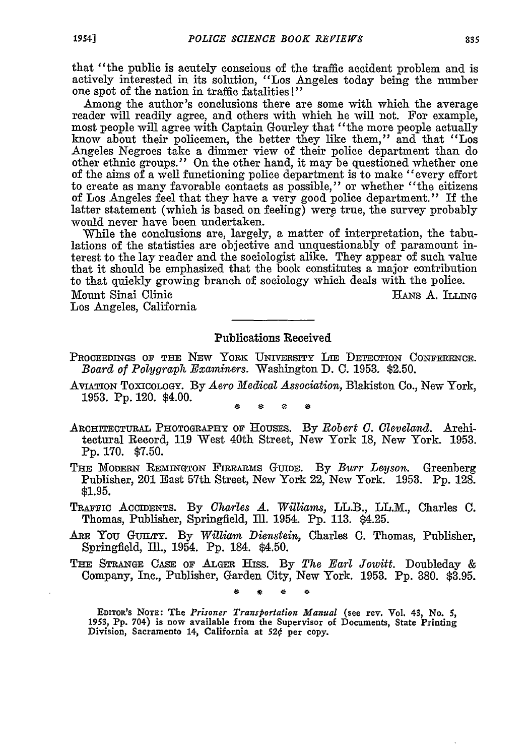that "the public is acutely conscious of the traffic accident problem and is actively interested in its solution, "Los Angeles today being the number one spot of the nation in traffic fatalities !"

Among the author's conclusions there are some with which the average reader will readily agree, and others with which he will not. For example, most people will agree with Captain Gourley that "the more people actually know about their policemen, the better they like them," and that "Los Angeles Negroes take a dimmer view of their police department than do other ethnic groups." On the other hand, it may be questioned whether one of the aims of a well functioning police department is to make "every effort to create as many favorable contacts as possible," or whether "the citizens of Los Angeles feel that they have a very good police department." If the latter statement (which is based on feeling) were true, the survey probably would never have been undertaken.

While the conclusions are, largely, a matter of interpretation, the tabulations of the statistics are objective and unquestionably of paramount interest to the lay reader and the sociologist alike. They appear of such value that it should be emphasized that the book constitutes a major contribution to that quickly growing branch of sociology which deals with the police.

Mount Sinai Clinic News A. ILLING

Los Angeles, California

## Publications Received

- **PROCEEDINGS OF THE** NEW YORK UNIVERSITY **IE DETECTION CONFERENCE.** *Board of Polygraph Examiners.* Washington **D. C. 1953. \$2.50.**
- **AVIATION TOXICOLOGY. By** *Aero Medical Association,* Blakiston Co., New York, **1953. Pp.** 120. \$4.00.

- **ARCHITECTURAL PHOTOGRAPHY OF HOUSES. By** *Robert C. Cleveland.* Architectural Record, **119** West 40th Street, New York **18,** New York. **1953. Pp. 170. \$7.50.**
- THE MODERN REMINGTON FIREARMS GUIDE. By *Burr Leyson*. Greenberg Publisher, 201 East 57th Street, New York 22, New York. **1953. Pp. 128.** \$1.95.
- TRAFFIC ACCIDENTS. By *Charles A. Williams,* LL.B., LL.M., Charles C. Thomas, Publisher, Springfield, Ill. 1954. Pp. 113. \$4.25.
- **ARE** You GUILTY. By *William Dienstein,* Charles C. Thomas, Publisher, Springfield, Ill., 1954. **Pp.** 184. \$4.50.
- **THE STRANGE CASE OF ALGER** Hiss. By *The Earl Jowitt.* Doubleday & Company, Inc., Publisher, Garden City, New York. 1953. **Pp.** 380. \$3.95.

EmToa's NoTE: The *Prisoner Transportation Manual* (see rev. Vol. **43,** No. **5, 1953, Pp.** 704-) is now available from the Supervisor **of** Documents, State Printing Division, Sacramento **14,** California at *520* **per** copy.